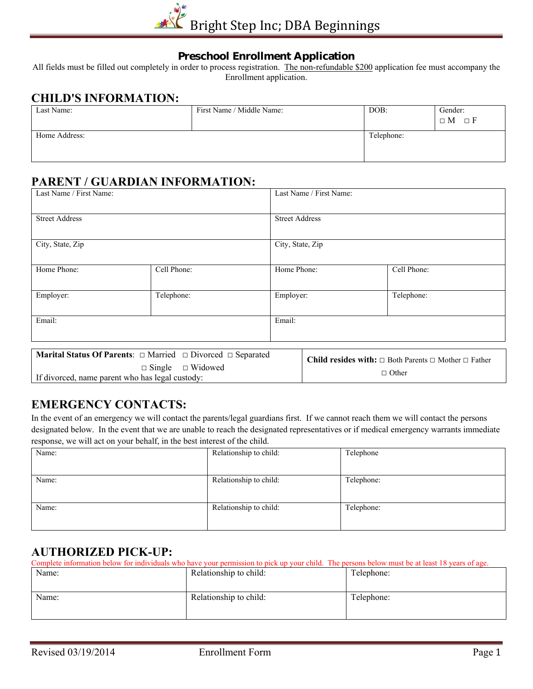

#### **Preschool Enrollment Application**

All fields must be filled out completely in order to process registration. The non-refundable \$200 application fee must accompany the Enrollment application.

## **CHILD'S INFORMATION:**

| First Name / Middle Name: | DOB:       | Gender:         |
|---------------------------|------------|-----------------|
|                           |            | $\Box M \Box F$ |
|                           | Telephone: |                 |
|                           |            |                 |
|                           |            |                 |

## **PARENT / GUARDIAN INFORMATION:**

| Last Name / First Name:                         |                                                                                                                   |                  | Last Name / First Name: |                                                                                            |  |
|-------------------------------------------------|-------------------------------------------------------------------------------------------------------------------|------------------|-------------------------|--------------------------------------------------------------------------------------------|--|
| <b>Street Address</b>                           |                                                                                                                   |                  | <b>Street Address</b>   |                                                                                            |  |
| City, State, Zip                                |                                                                                                                   | City, State, Zip |                         |                                                                                            |  |
| Home Phone:                                     | Cell Phone:                                                                                                       | Home Phone:      |                         | Cell Phone:                                                                                |  |
| Employer:                                       | Telephone:                                                                                                        | Employer:        |                         | Telephone:                                                                                 |  |
| Email:                                          |                                                                                                                   | Email:           |                         |                                                                                            |  |
| If divorced, name parent who has legal custody: | <b>Marital Status Of Parents:</b> $\Box$ Married $\Box$ Divorced $\Box$ Separated<br>$\Box$ Single $\Box$ Widowed |                  |                         | <b>Child resides with:</b> $\Box$ Both Parents $\Box$ Mother $\Box$ Father<br>$\Box$ Other |  |

#### **EMERGENCY CONTACTS:**

In the event of an emergency we will contact the parents/legal guardians first. If we cannot reach them we will contact the persons designated below. In the event that we are unable to reach the designated representatives or if medical emergency warrants immediate response, we will act on your behalf, in the best interest of the child.

| Name: | Relationship to child: | Telephone  |
|-------|------------------------|------------|
| Name: | Relationship to child: | Telephone: |
| Name: | Relationship to child: | Telephone: |

## **AUTHORIZED PICK-UP:**

| Complete information below for individuals who have your permission to pick up your child. The persons below must be at least 18 years of age. |                        |            |
|------------------------------------------------------------------------------------------------------------------------------------------------|------------------------|------------|
| Name:                                                                                                                                          | Relationship to child: | Telephone: |
|                                                                                                                                                |                        |            |
|                                                                                                                                                |                        |            |
| Name:                                                                                                                                          | Relationship to child: | Telephone: |
|                                                                                                                                                |                        |            |
|                                                                                                                                                |                        |            |
|                                                                                                                                                |                        |            |